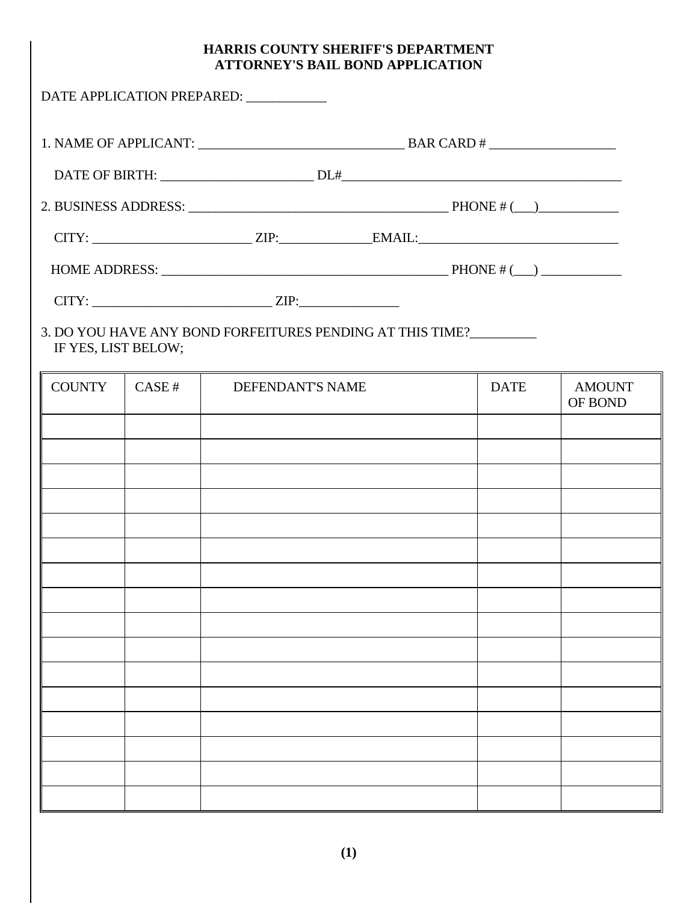# **HARRIS COUNTY SHERIFF'S DEPARTMENT ATTORNEY'S BAIL BOND APPLICATION**

|                     |       | DATE APPLICATION PREPARED: ___________                       |  |             |                          |
|---------------------|-------|--------------------------------------------------------------|--|-------------|--------------------------|
|                     |       |                                                              |  |             |                          |
|                     |       |                                                              |  |             |                          |
|                     |       |                                                              |  |             |                          |
|                     |       | $CITY:$ $ZIP:$ $ZIP:$ $EMAIL:$                               |  |             |                          |
|                     |       | HOME ADDRESS: $\qquad \qquad$ PHONE #(_) $\qquad \qquad$     |  |             |                          |
|                     |       | $CITY:$ $ZIP:$                                               |  |             |                          |
| IF YES, LIST BELOW; |       | 3. DO YOU HAVE ANY BOND FORFEITURES PENDING AT THIS TIME?    |  |             |                          |
| <b>COUNTY</b>       | CASE# | <b>DEFENDANT'S NAME</b><br><b>Contract Contract Contract</b> |  | <b>DATE</b> | <b>AMOUNT</b><br>OF BOND |
|                     |       |                                                              |  |             |                          |
|                     |       |                                                              |  |             |                          |
|                     |       |                                                              |  |             |                          |
|                     |       |                                                              |  |             |                          |
|                     |       |                                                              |  |             |                          |
|                     |       |                                                              |  |             |                          |
|                     |       |                                                              |  |             |                          |
|                     |       |                                                              |  |             |                          |
|                     |       |                                                              |  |             |                          |
|                     |       |                                                              |  |             |                          |
|                     |       |                                                              |  |             |                          |
|                     |       |                                                              |  |             |                          |
|                     |       |                                                              |  |             |                          |
|                     |       |                                                              |  |             |                          |
|                     |       |                                                              |  |             |                          |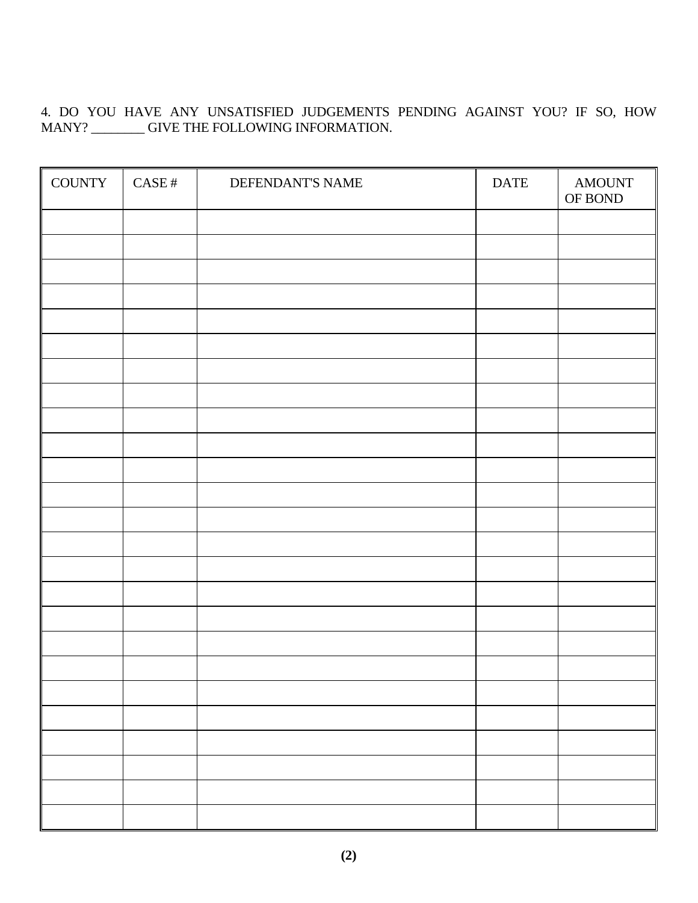4. DO YOU HAVE ANY UNSATISFIED JUDGEMENTS PENDING AGAINST YOU? IF SO, HOW MANY? \_\_\_\_\_\_\_\_ GIVE THE FOLLOWING INFORMATION.

| <b>COUNTY</b> | $\operatorname{CASE}$ # | DEFENDANT'S NAME | <b>DATE</b> | <b>AMOUNT</b><br>OF BOND |
|---------------|-------------------------|------------------|-------------|--------------------------|
|               |                         |                  |             |                          |
|               |                         |                  |             |                          |
|               |                         |                  |             |                          |
|               |                         |                  |             |                          |
|               |                         |                  |             |                          |
|               |                         |                  |             |                          |
|               |                         |                  |             |                          |
|               |                         |                  |             |                          |
|               |                         |                  |             |                          |
|               |                         |                  |             |                          |
|               |                         |                  |             |                          |
|               |                         |                  |             |                          |
|               |                         |                  |             |                          |
|               |                         |                  |             |                          |
|               |                         |                  |             |                          |
|               |                         |                  |             |                          |
|               |                         |                  |             |                          |
|               |                         |                  |             |                          |
|               |                         |                  |             |                          |
|               |                         |                  |             |                          |
|               |                         |                  |             |                          |
|               |                         |                  |             |                          |
|               |                         |                  |             |                          |
|               |                         |                  |             |                          |
|               |                         |                  |             |                          |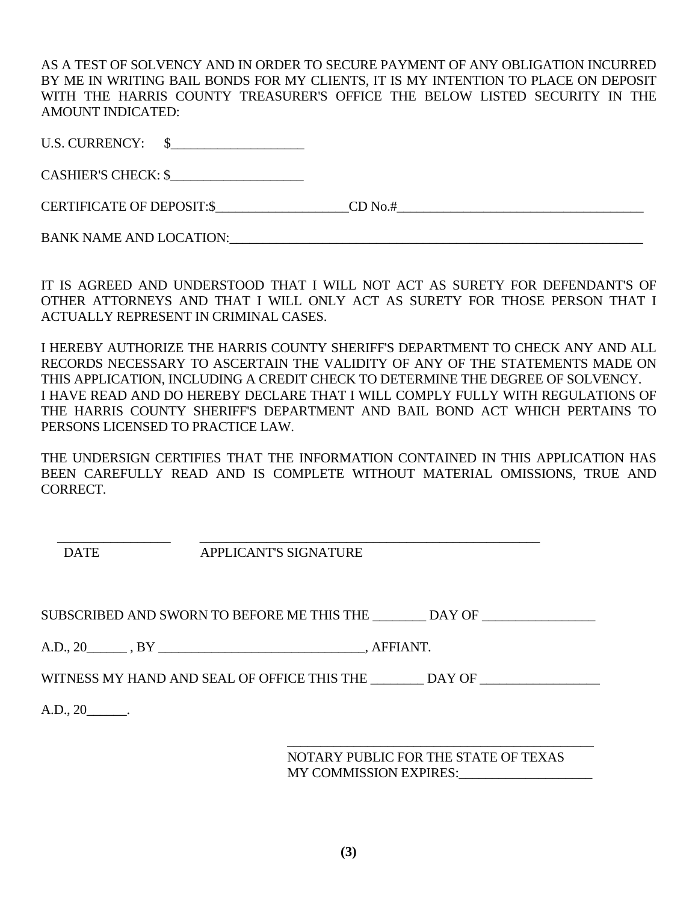AS A TEST OF SOLVENCY AND IN ORDER TO SECURE PAYMENT OF ANY OBLIGATION INCURRED BY ME IN WRITING BAIL BONDS FOR MY CLIENTS, IT IS MY INTENTION TO PLACE ON DEPOSIT WITH THE HARRIS COUNTY TREASURER'S OFFICE THE BELOW LISTED SECURITY IN THE AMOUNT INDICATED:

U.S. CURRENCY: \$\_\_\_\_\_\_\_\_\_\_\_\_\_\_\_\_\_\_\_\_

CASHIER'S CHECK: \$

CERTIFICATE OF DEPOSIT:\$\_\_\_\_\_\_\_\_\_\_\_\_\_\_\_\_\_\_\_\_CD No.#\_\_\_\_\_\_\_\_\_\_\_\_\_\_\_\_\_\_\_\_\_\_\_\_\_\_\_\_\_\_\_\_\_\_\_\_\_

BANK NAME AND LOCATION:\_\_\_\_\_\_\_\_\_\_\_\_\_\_\_\_\_\_\_\_\_\_\_\_\_\_\_\_\_\_\_\_\_\_\_\_\_\_\_\_\_\_\_\_\_\_\_\_\_\_\_\_\_\_\_\_\_\_\_\_\_\_

IT IS AGREED AND UNDERSTOOD THAT I WILL NOT ACT AS SURETY FOR DEFENDANT'S OF OTHER ATTORNEYS AND THAT I WILL ONLY ACT AS SURETY FOR THOSE PERSON THAT I ACTUALLY REPRESENT IN CRIMINAL CASES.

I HEREBY AUTHORIZE THE HARRIS COUNTY SHERIFF'S DEPARTMENT TO CHECK ANY AND ALL RECORDS NECESSARY TO ASCERTAIN THE VALIDITY OF ANY OF THE STATEMENTS MADE ON THIS APPLICATION, INCLUDING A CREDIT CHECK TO DETERMINE THE DEGREE OF SOLVENCY. I HAVE READ AND DO HEREBY DECLARE THAT I WILL COMPLY FULLY WITH REGULATIONS OF THE HARRIS COUNTY SHERIFF'S DEPARTMENT AND BAIL BOND ACT WHICH PERTAINS TO PERSONS LICENSED TO PRACTICE LAW.

THE UNDERSIGN CERTIFIES THAT THE INFORMATION CONTAINED IN THIS APPLICATION HAS BEEN CAREFULLY READ AND IS COMPLETE WITHOUT MATERIAL OMISSIONS, TRUE AND CORRECT.

 $\frac{1}{2}$  ,  $\frac{1}{2}$  ,  $\frac{1}{2}$  ,  $\frac{1}{2}$  ,  $\frac{1}{2}$  ,  $\frac{1}{2}$  ,  $\frac{1}{2}$  ,  $\frac{1}{2}$  ,  $\frac{1}{2}$  ,  $\frac{1}{2}$  ,  $\frac{1}{2}$  ,  $\frac{1}{2}$  ,  $\frac{1}{2}$  ,  $\frac{1}{2}$  ,  $\frac{1}{2}$  ,  $\frac{1}{2}$  ,  $\frac{1}{2}$  ,  $\frac{1}{2}$  ,  $\frac{1$ DATE APPLICANT'S SIGNATURE

SUBSCRIBED AND SWORN TO BEFORE ME THIS THE \_\_\_\_\_\_\_\_ DAY OF

A.D., 20  $\overline{BY}$  , AFFIANT.

WITNESS MY HAND AND SEAL OF OFFICE THIS THE \_\_\_\_\_\_\_\_ DAY OF

 $\overline{\phantom{a}}$  , and the contract of the contract of the contract of the contract of the contract of the contract of the contract of the contract of the contract of the contract of the contract of the contract of the contrac

A.D., 20\_\_\_\_\_\_.

 NOTARY PUBLIC FOR THE STATE OF TEXAS MY COMMISSION EXPIRES: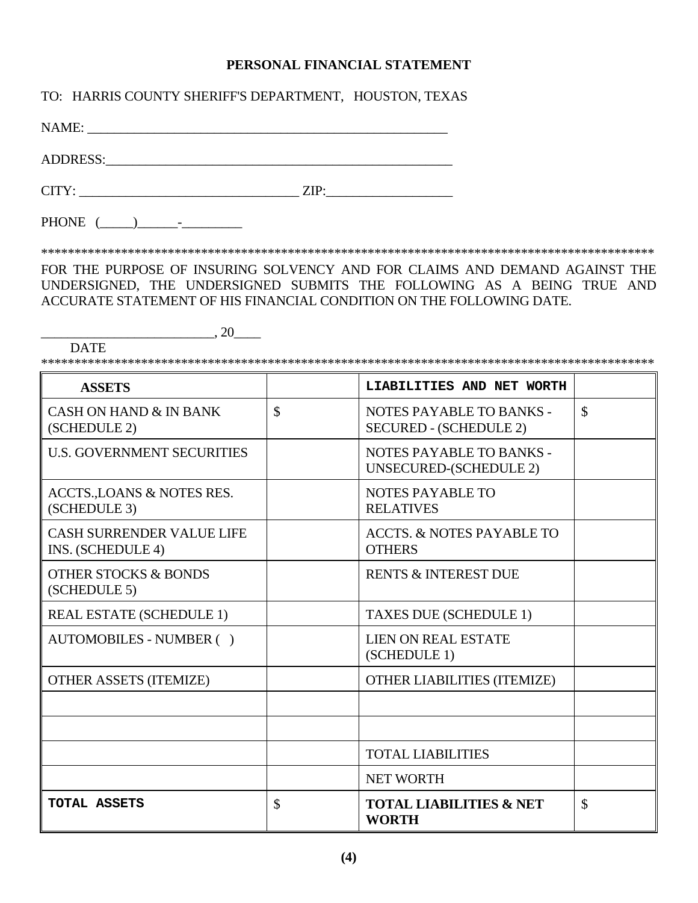#### **PERSONAL FINANCIAL STATEMENT**

TO: HARRIS COUNTY SHERIFF'S DEPARTMENT, HOUSTON, TEXAS

NAME: \_\_\_\_\_\_\_\_\_\_\_\_\_\_\_\_\_\_\_\_\_\_\_\_\_\_\_\_\_\_\_\_\_\_\_\_\_\_\_\_\_\_\_\_\_\_\_\_\_\_\_\_\_\_

ADDRESS:\_\_\_\_\_\_\_\_\_\_\_\_\_\_\_\_\_\_\_\_\_\_\_\_\_\_\_\_\_\_\_\_\_\_\_\_\_\_\_\_\_\_\_\_\_\_\_\_\_\_\_\_

 $CITY:$   $ZIP:$ 

PHONE  $(\_\_)$  -

DATE

\*\*\*\*\*\*\*\*\*\*\*\*\*\*\*\*\*\*\*\*\*\*\*\*\*\*\*\*\*\*\*\*\*\*\*\*\*\*\*\*\*\*\*\*\*\*\*\*\*\*\*\*\*\*\*\*\*\*\*\*\*\*\*\*\*\*\*\*\*\*\*\*\*\*\*\*\*\*\*\*\*\*\*\*\*\*\*\*\*\*\*\*

FOR THE PURPOSE OF INSURING SOLVENCY AND FOR CLAIMS AND DEMAND AGAINST THE UNDERSIGNED, THE UNDERSIGNED SUBMITS THE FOLLOWING AS A BEING TRUE AND ACCURATE STATEMENT OF HIS FINANCIAL CONDITION ON THE FOLLOWING DATE.

 $\frac{1}{20}$ , 20

\*\*\*\*\*\*\*\*\*\*\*\*\*\*\*\*\*\*\*\*\*\*\*\*\*\*\*\*\*\*\*\*\*\*\*\*\*\*\*\*\*\*\*\*\*\*\*\*\*\*\*\*\*\*\*\*\*\*\*\*\*\*\*\*\*\*\*\*\*\*\*\*\*\*\*\*\*\*\*\*\*\*\*\*\*\*\*\*\*\*\*\*

| <b>ASSETS</b>                                         |               | LIABILITIES AND NET WORTH                                 |               |
|-------------------------------------------------------|---------------|-----------------------------------------------------------|---------------|
| <b>CASH ON HAND &amp; IN BANK</b><br>(SCHEDULE 2)     | $\mathcal{S}$ | NOTES PAYABLE TO BANKS -<br><b>SECURED - (SCHEDULE 2)</b> | $\mathcal{S}$ |
| <b>U.S. GOVERNMENT SECURITIES</b>                     |               | NOTES PAYABLE TO BANKS -<br>UNSECURED-(SCHEDULE 2)        |               |
| ACCTS., LOANS & NOTES RES.<br>(SCHEDULE 3)            |               | NOTES PAYABLE TO<br><b>RELATIVES</b>                      |               |
| <b>CASH SURRENDER VALUE LIFE</b><br>INS. (SCHEDULE 4) |               | <b>ACCTS. &amp; NOTES PAYABLE TO</b><br><b>OTHERS</b>     |               |
| <b>OTHER STOCKS &amp; BONDS</b><br>(SCHEDULE 5)       |               | <b>RENTS &amp; INTEREST DUE</b>                           |               |
| <b>REAL ESTATE (SCHEDULE 1)</b>                       |               | <b>TAXES DUE (SCHEDULE 1)</b>                             |               |
| AUTOMOBILES - NUMBER ()                               |               | <b>LIEN ON REAL ESTATE</b><br>(SCHEDULE 1)                |               |
| <b>OTHER ASSETS (ITEMIZE)</b>                         |               | <b>OTHER LIABILITIES (ITEMIZE)</b>                        |               |
|                                                       |               |                                                           |               |
|                                                       |               |                                                           |               |
|                                                       |               | <b>TOTAL LIABILITIES</b>                                  |               |
|                                                       |               | <b>NET WORTH</b>                                          |               |
| TOTAL ASSETS                                          | $\mathcal{S}$ | <b>TOTAL LIABILITIES &amp; NET</b><br><b>WORTH</b>        | \$            |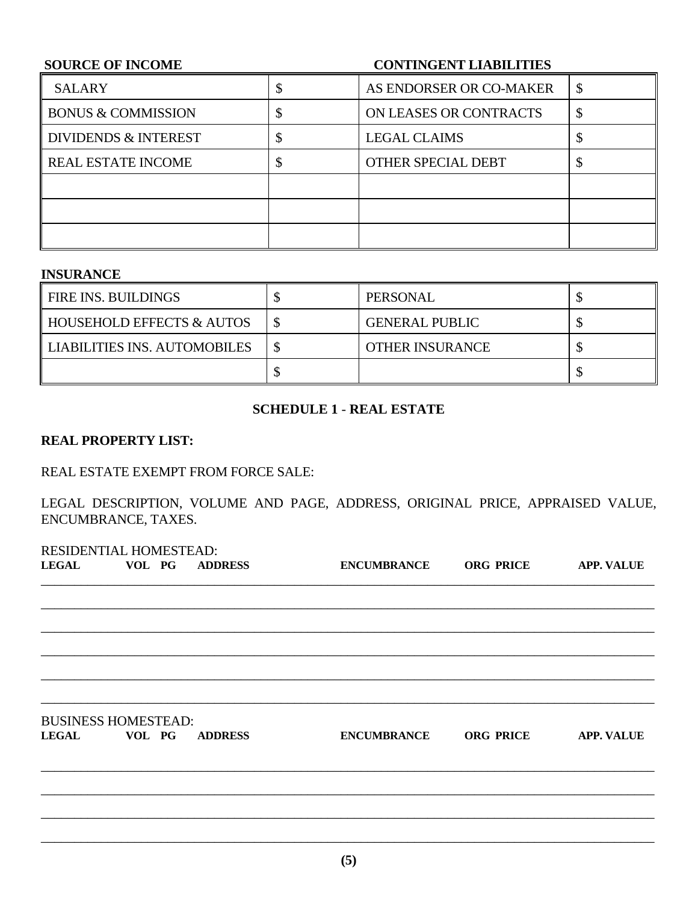# **SOURCE OF INCOME CONTINGENT LIABILITIES**  SALARY SALARY SALARY SALARY SALARY BONUS & COMMISSION  $\S$  ON LEASES OR CONTRACTS  $\S$ DIVIDENDS & INTEREST  $\vert \$   $\vert$  EGAL CLAIMS  $\vert \$ REAL ESTATE INCOME  $\vert \$   $\vert$  other special debt  $\vert \$

### **INSURANCE**

| <b>FIRE INS. BUILDINGS</b>   | PERSONAL               |  |
|------------------------------|------------------------|--|
| HOUSEHOLD EFFECTS & AUTOS    | <b>GENERAL PUBLIC</b>  |  |
| LIABILITIES INS. AUTOMOBILES | <b>OTHER INSURANCE</b> |  |
|                              |                        |  |

#### **SCHEDULE 1** - **REAL ESTATE**

#### **REAL PROPERTY LIST:**

#### REAL ESTATE EXEMPT FROM FORCE SALE:

LEGAL DESCRIPTION, VOLUME AND PAGE, ADDRESS, ORIGINAL PRICE, APPRAISED VALUE, ENCUMBRANCE, TAXES.

| RESIDENTIAL HOMESTEAD:     |                      |                       |                  |                   |
|----------------------------|----------------------|-----------------------|------------------|-------------------|
|                            | LEGAL VOL PG ADDRESS | ENCUMBRANCE ORG PRICE |                  | <b>APP. VALUE</b> |
|                            |                      |                       |                  |                   |
|                            |                      |                       |                  |                   |
|                            |                      |                       |                  |                   |
|                            |                      |                       |                  |                   |
|                            |                      |                       |                  |                   |
| <b>BUSINESS HOMESTEAD:</b> |                      |                       |                  |                   |
| LEGAL VOL PG               | <b>ADDRESS</b>       | <b>ENCUMBRANCE</b>    | <b>ORG PRICE</b> | <b>APP. VALUE</b> |
|                            |                      |                       |                  |                   |
|                            |                      |                       |                  |                   |
|                            |                      |                       |                  |                   |
|                            |                      |                       |                  |                   |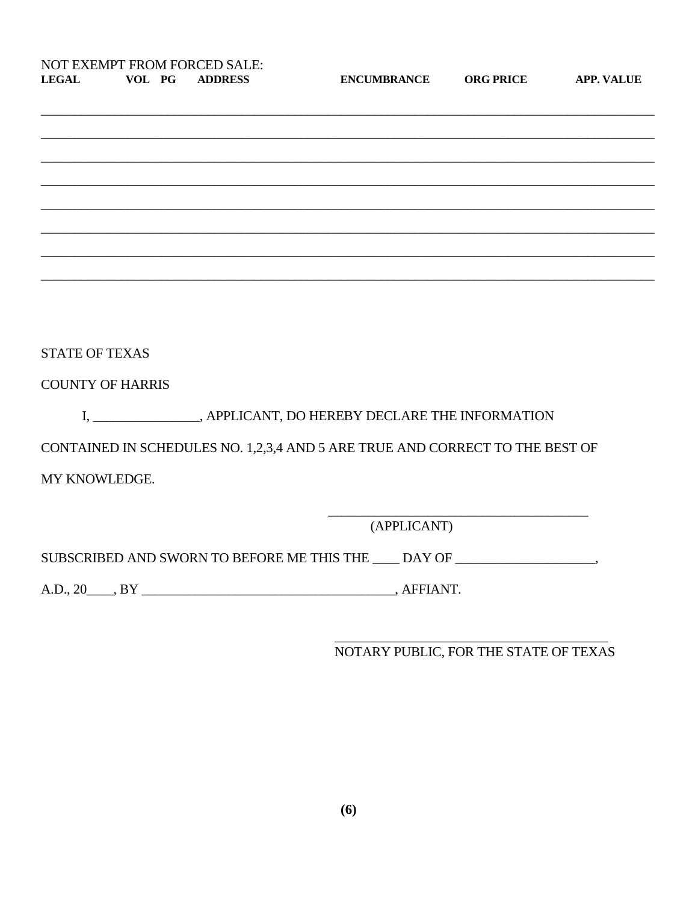| <b>NOT EXEMPT FROM FORCED SALE:</b> |        |                |
|-------------------------------------|--------|----------------|
| LEGAL                               | VOL PG | <b>ADDRESS</b> |

**ENCUMBRANCE** 

**ORG PRICE** 

APP. VALUE

| <b>STATE OF TEXAS</b>   |                                                                                   |
|-------------------------|-----------------------------------------------------------------------------------|
| <b>COUNTY OF HARRIS</b> |                                                                                   |
|                         | I, _______________, APPLICANT, DO HEREBY DECLARE THE INFORMATION                  |
|                         | CONTAINED IN SCHEDULES NO. 1,2,3,4 AND 5 ARE TRUE AND CORRECT TO THE BEST OF      |
| MY KNOWLEDGE.           |                                                                                   |
|                         |                                                                                   |
|                         | (APPLICANT)                                                                       |
|                         | SUBSCRIBED AND SWORN TO BEFORE ME THIS THE ____ DAY OF __________________________ |
|                         |                                                                                   |

NOTARY PUBLIC, FOR THE STATE OF TEXAS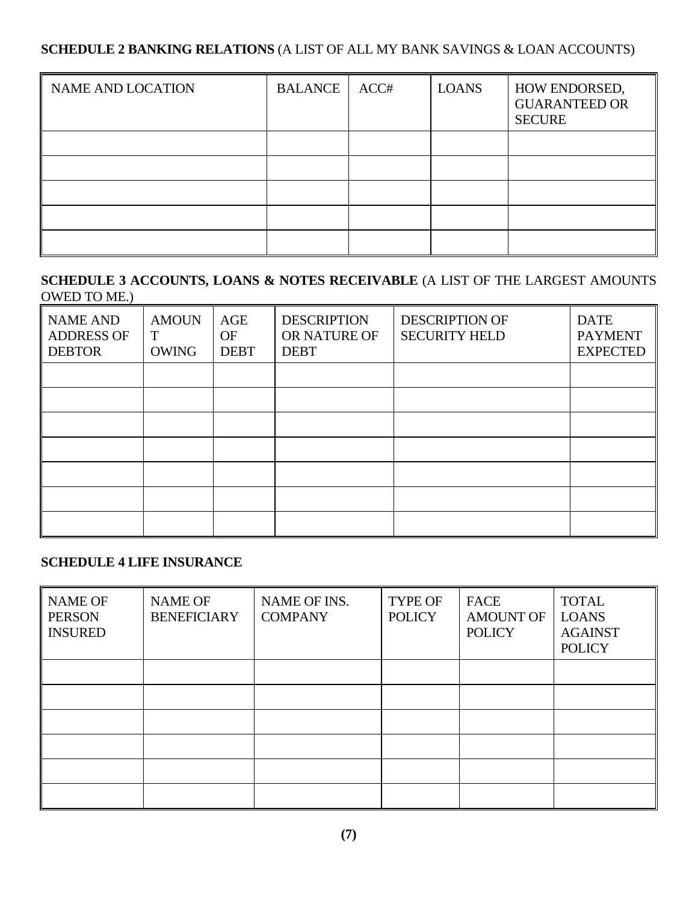## **SCHEDULE 2 BANKING RELATIONS** (A LIST OF ALL MY BANK SAVINGS & LOAN ACCOUNTS)

| <b>NAME AND LOCATION</b> | <b>BALANCE</b> | ACC# | <b>LOANS</b> | HOW ENDORSED,<br><b>GUARANTEED OR</b><br><b>SECURE</b> |
|--------------------------|----------------|------|--------------|--------------------------------------------------------|
|                          |                |      |              |                                                        |
|                          |                |      |              |                                                        |
|                          |                |      |              |                                                        |
|                          |                |      |              |                                                        |
|                          |                |      |              |                                                        |

## **SCHEDULE 3 ACCOUNTS, LOANS & NOTES RECEIVABLE** (A LIST OF THE LARGEST AMOUNTS OWED TO ME.)

| <b>NAME AND</b><br><b>ADDRESS OF</b><br><b>DEBTOR</b> | <b>AMOUN</b><br>Т<br><b>OWING</b> | AGE<br>OF<br><b>DEBT</b> | <b>DESCRIPTION</b><br>OR NATURE OF<br><b>DEBT</b> | <b>DESCRIPTION OF</b><br><b>SECURITY HELD</b> | <b>DATE</b><br><b>PAYMENT</b><br><b>EXPECTED</b> |
|-------------------------------------------------------|-----------------------------------|--------------------------|---------------------------------------------------|-----------------------------------------------|--------------------------------------------------|
|                                                       |                                   |                          |                                                   |                                               |                                                  |
|                                                       |                                   |                          |                                                   |                                               |                                                  |
|                                                       |                                   |                          |                                                   |                                               |                                                  |
|                                                       |                                   |                          |                                                   |                                               |                                                  |
|                                                       |                                   |                          |                                                   |                                               |                                                  |
|                                                       |                                   |                          |                                                   |                                               |                                                  |
|                                                       |                                   |                          |                                                   |                                               |                                                  |

## **SCHEDULE 4 LIFE INSURANCE**

| <b>NAME OF</b><br><b>PERSON</b><br><b>INSURED</b> | <b>NAME OF</b><br><b>BENEFICIARY</b> | NAME OF INS.<br><b>COMPANY</b> | <b>TYPE OF</b><br><b>POLICY</b> | <b>FACE</b><br><b>AMOUNT OF</b><br><b>POLICY</b> | <b>TOTAL</b><br><b>LOANS</b><br><b>AGAINST</b><br><b>POLICY</b> |
|---------------------------------------------------|--------------------------------------|--------------------------------|---------------------------------|--------------------------------------------------|-----------------------------------------------------------------|
|                                                   |                                      |                                |                                 |                                                  |                                                                 |
|                                                   |                                      |                                |                                 |                                                  |                                                                 |
|                                                   |                                      |                                |                                 |                                                  |                                                                 |
|                                                   |                                      |                                |                                 |                                                  |                                                                 |
|                                                   |                                      |                                |                                 |                                                  |                                                                 |
|                                                   |                                      |                                |                                 |                                                  |                                                                 |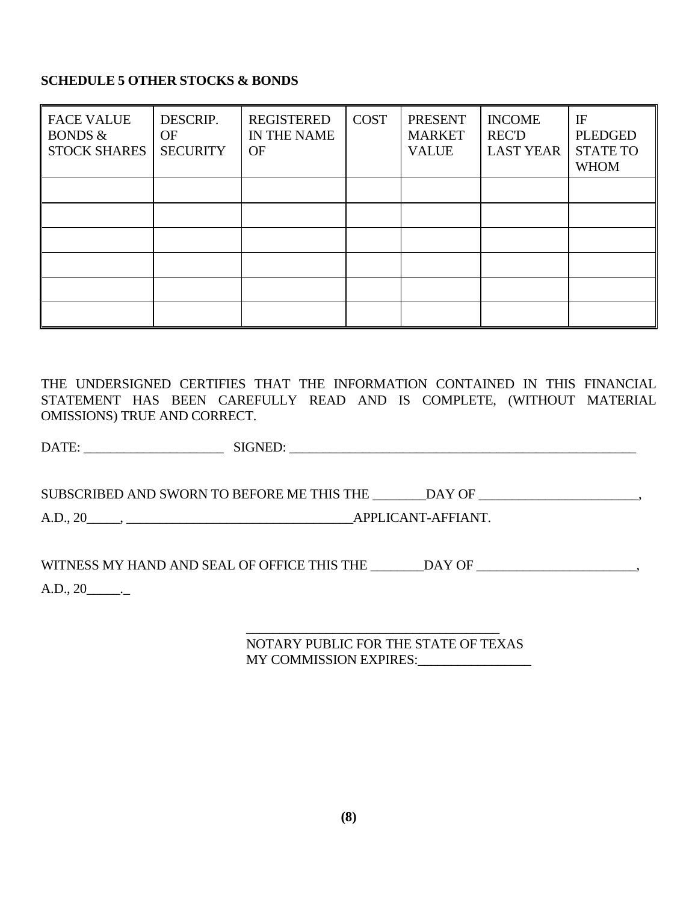## **SCHEDULE 5 OTHER STOCKS & BONDS**

| <b>FACE VALUE</b><br><b>BONDS &amp;</b><br><b>STOCK SHARES</b> | DESCRIP.<br><b>OF</b><br><b>SECURITY</b> | <b>REGISTERED</b><br>IN THE NAME<br>OF | <b>COST</b> | <b>PRESENT</b><br><b>MARKET</b><br><b>VALUE</b> | <b>INCOME</b><br><b>REC'D</b><br><b>LAST YEAR</b> | IF<br><b>PLEDGED</b><br><b>STATE TO</b><br><b>WHOM</b> |
|----------------------------------------------------------------|------------------------------------------|----------------------------------------|-------------|-------------------------------------------------|---------------------------------------------------|--------------------------------------------------------|
|                                                                |                                          |                                        |             |                                                 |                                                   |                                                        |
|                                                                |                                          |                                        |             |                                                 |                                                   |                                                        |
|                                                                |                                          |                                        |             |                                                 |                                                   |                                                        |
|                                                                |                                          |                                        |             |                                                 |                                                   |                                                        |
|                                                                |                                          |                                        |             |                                                 |                                                   |                                                        |
|                                                                |                                          |                                        |             |                                                 |                                                   |                                                        |

THE UNDERSIGNED CERTIFIES THAT THE INFORMATION CONTAINED IN THIS FINANCIAL STATEMENT HAS BEEN CAREFULLY READ AND IS COMPLETE, (WITHOUT MATERIAL OMISSIONS) TRUE AND CORRECT.

DATE: \_\_\_\_\_\_\_\_\_\_\_\_\_\_\_\_\_\_\_\_\_ SIGNED: \_\_\_\_\_\_\_\_\_\_\_\_\_\_\_\_\_\_\_\_\_\_\_\_\_\_\_\_\_\_\_\_\_\_\_\_\_\_\_\_\_\_\_\_\_\_\_\_\_\_\_\_

SUBSCRIBED AND SWORN TO BEFORE ME THIS THE \_\_\_\_\_\_\_DAY OF \_\_\_\_\_\_\_\_\_\_\_\_\_\_\_\_\_\_\_\_\_\_,

A.D., 20\_\_\_\_\_, \_\_\_\_\_\_\_\_\_\_\_\_\_\_\_\_\_\_\_\_\_\_\_\_\_\_\_\_\_\_\_\_\_\_APPLICANT-AFFIANT.

WITNESS MY HAND AND SEAL OF OFFICE THIS THE \_\_\_\_\_\_\_DAY OF \_\_\_\_\_\_\_\_\_\_\_\_\_\_\_\_\_\_\_\_\_\_\_

 $A.D., 20$ <sub>\_\_\_\_\_\_\_</sub>.

 $\mathcal{L}_\text{max}$  and  $\mathcal{L}_\text{max}$  and  $\mathcal{L}_\text{max}$  and  $\mathcal{L}_\text{max}$  and  $\mathcal{L}_\text{max}$  NOTARY PUBLIC FOR THE STATE OF TEXAS MY COMMISSION EXPIRES: